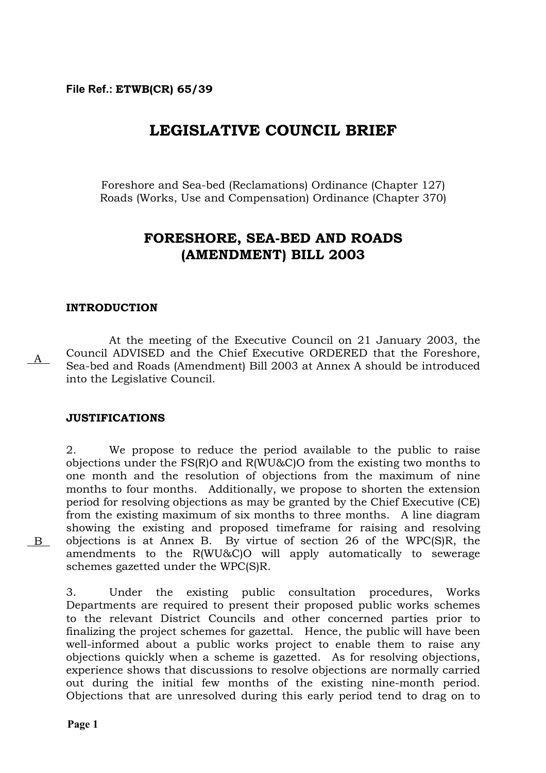# **LEGISLATIVE COUNCIL BRIEF**

Foreshore and Sea-bed (Reclamations) Ordinance (Chapter 127) Roads (Works, Use and Compensation) Ordinance (Chapter 370)

# **FORESHORE, SEA-BED AND ROADS (AMENDMENT) BILL 2003**

### **INTRODUCTION**

At the meeting of the Executive Council on 21 January 2003, the Council ADVISED and the Chief Executive ORDERED that the Foreshore, Sea-bed and Roads (Amendment) Bill 2003 at Annex A should be introduced into the Legislative Council.  $A$ 

### **JUSTIFICATIONS**

2. We propose to reduce the period available to the public to raise objections under the FS(R)O and R(WU&C)O from the existing two months to one month and the resolution of objections from the maximum of nine months to four months. Additionally, we propose to shorten the extension period for resolving objections as may be granted by the Chief Executive (CE) from the existing maximum of six months to three months. A line diagram showing the existing and proposed timeframe for raising and resolving objections is at Annex B. By virtue of section 26 of the WPC(S)R, the amendments to the R(WU&C)O will apply automatically to sewerage schemes gazetted under the WPC(S)R.

3. Under the existing public consultation procedures, Works Departments are required to present their proposed public works schemes to the relevant District Councils and other concerned parties prior to finalizing the project schemes for gazettal. Hence, the public will have been well-informed about a public works project to enable them to raise any objections quickly when a scheme is gazetted. As for resolving objections, experience shows that discussions to resolve objections are normally carried out during the initial few months of the existing nine-month period. Objections that are unresolved during this early period tend to drag on to

**Page 1** 

B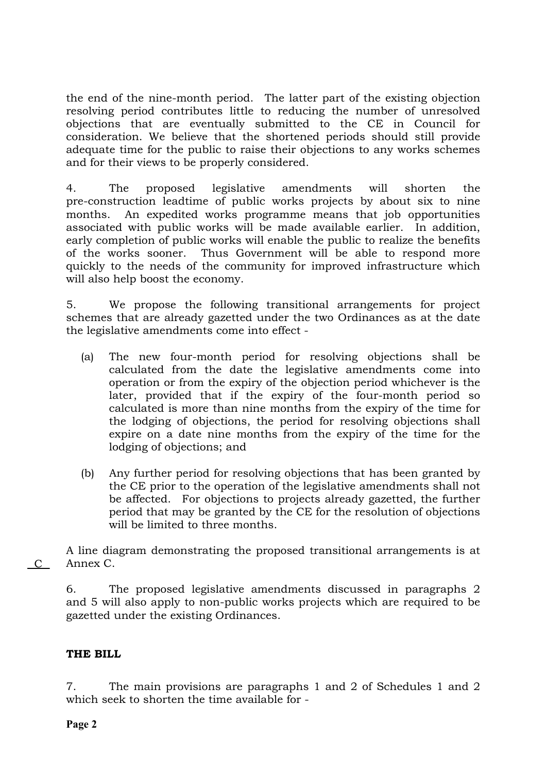the end of the nine-month period. The latter part of the existing objection resolving period contributes little to reducing the number of unresolved objections that are eventually submitted to the CE in Council for consideration. We believe that the shortened periods should still provide adequate time for the public to raise their objections to any works schemes and for their views to be properly considered.

4. The proposed legislative amendments will shorten the pre-construction leadtime of public works projects by about six to nine months. An expedited works programme means that job opportunities associated with public works will be made available earlier. In addition, early completion of public works will enable the public to realize the benefits of the works sooner. Thus Government will be able to respond more quickly to the needs of the community for improved infrastructure which will also help boost the economy.

5. We propose the following transitional arrangements for project schemes that are already gazetted under the two Ordinances as at the date the legislative amendments come into effect -

- (a) The new four-month period for resolving objections shall be calculated from the date the legislative amendments come into operation or from the expiry of the objection period whichever is the later, provided that if the expiry of the four-month period so calculated is more than nine months from the expiry of the time for the lodging of objections, the period for resolving objections shall expire on a date nine months from the expiry of the time for the lodging of objections; and
- (b) Any further period for resolving objections that has been granted by the CE prior to the operation of the legislative amendments shall not be affected. For objections to projects already gazetted, the further period that may be granted by the CE for the resolution of objections will be limited to three months.

A line diagram demonstrating the proposed transitional arrangements is at C Annex C.

6. The proposed legislative amendments discussed in paragraphs 2 and 5 will also apply to non-public works projects which are required to be gazetted under the existing Ordinances.

# **THE BILL**

7. The main provisions are paragraphs 1 and 2 of Schedules 1 and 2 which seek to shorten the time available for -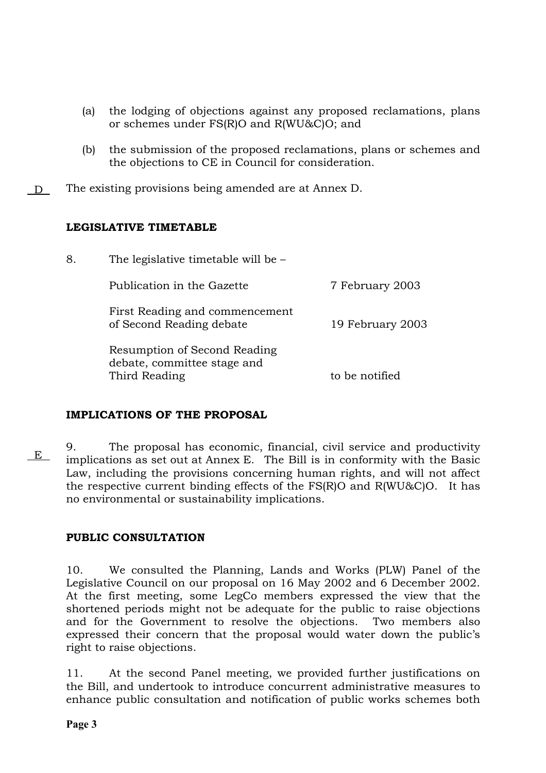- (a) the lodging of objections against any proposed reclamations, plans or schemes under FS(R)O and R(WU&C)O; and
- (b) the submission of the proposed reclamations, plans or schemes and the objections to CE in Council for consideration.
- D The existing provisions being amended are at Annex D.

## **LEGISLATIVE TIMETABLE**

| 8. | The legislative timetable will be $-$                                        |                  |
|----|------------------------------------------------------------------------------|------------------|
|    | Publication in the Gazette                                                   | 7 February 2003  |
|    | First Reading and commencement<br>of Second Reading debate                   | 19 February 2003 |
|    | Resumption of Second Reading<br>debate, committee stage and<br>Third Reading | to be notified   |
|    |                                                                              |                  |

# **IMPLICATIONS OF THE PROPOSAL**

9. The proposal has economic, financial, civil service and productivity implications as set out at Annex E. The Bill is in conformity with the Basic Law, including the provisions concerning human rights, and will not affect the respective current binding effects of the FS(R)O and R(WU&C)O. It has no environmental or sustainability implications.  $E$ 

# **PUBLIC CONSULTATION**

10. We consulted the Planning, Lands and Works (PLW) Panel of the Legislative Council on our proposal on 16 May 2002 and 6 December 2002. At the first meeting, some LegCo members expressed the view that the shortened periods might not be adequate for the public to raise objections and for the Government to resolve the objections. Two members also expressed their concern that the proposal would water down the public's right to raise objections.

11. At the second Panel meeting, we provided further justifications on the Bill, and undertook to introduce concurrent administrative measures to enhance public consultation and notification of public works schemes both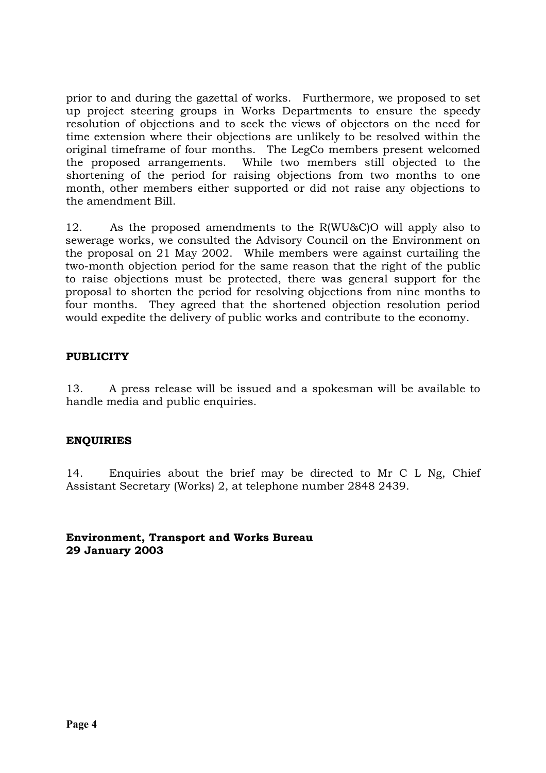prior to and during the gazettal of works. Furthermore, we proposed to set up project steering groups in Works Departments to ensure the speedy resolution of objections and to seek the views of objectors on the need for time extension where their objections are unlikely to be resolved within the original timeframe of four months. The LegCo members present welcomed the proposed arrangements. While two members still objected to the shortening of the period for raising objections from two months to one month, other members either supported or did not raise any objections to the amendment Bill.

12. As the proposed amendments to the R(WU&C)O will apply also to sewerage works, we consulted the Advisory Council on the Environment on the proposal on 21 May 2002. While members were against curtailing the two-month objection period for the same reason that the right of the public to raise objections must be protected, there was general support for the proposal to shorten the period for resolving objections from nine months to four months. They agreed that the shortened objection resolution period would expedite the delivery of public works and contribute to the economy.

## **PUBLICITY**

13. A press release will be issued and a spokesman will be available to handle media and public enquiries.

# **ENQUIRIES**

14. Enquiries about the brief may be directed to Mr C L Ng, Chief Assistant Secretary (Works) 2, at telephone number 2848 2439.

**Environment, Transport and Works Bureau 29 January 2003**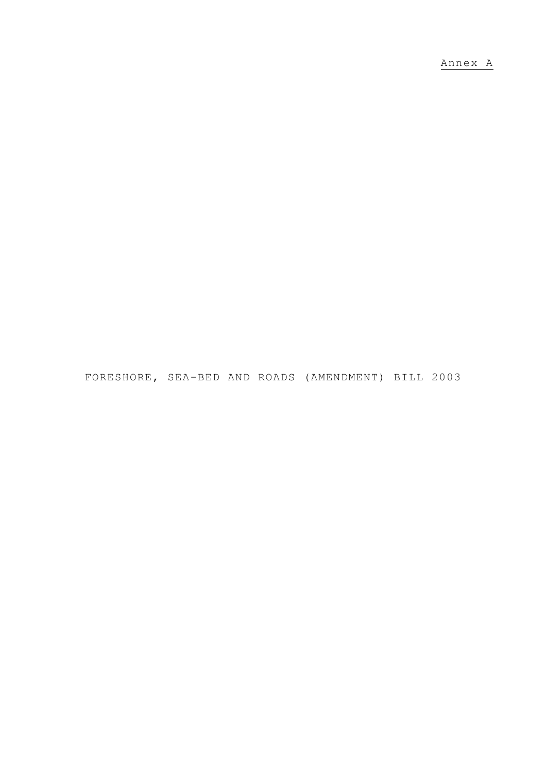Annex A

FORESHORE, SEA-BED AND ROADS (AMENDMENT) BILL 2003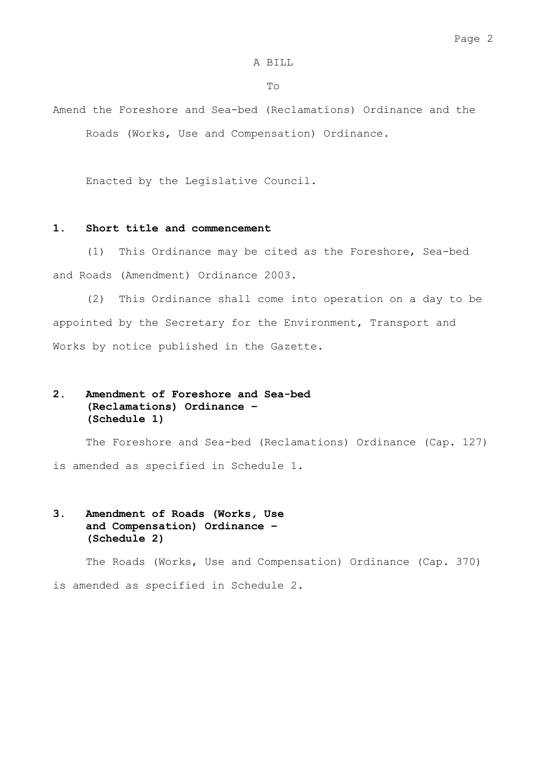#### A BILL

#### To

Amend the Foreshore and Sea-bed (Reclamations) Ordinance and the Roads (Works, Use and Compensation) Ordinance.

Enacted by the Legislative Council.

#### **1. Short title and commencement**

 (1) This Ordinance may be cited as the Foreshore, Sea-bed and Roads (Amendment) Ordinance 2003.

 (2) This Ordinance shall come into operation on a day to be appointed by the Secretary for the Environment, Transport and Works by notice published in the Gazette.

### **2. Amendment of Foreshore and Sea-bed (Reclamations) Ordinance – (Schedule 1)**

 The Foreshore and Sea-bed (Reclamations) Ordinance (Cap. 127) is amended as specified in Schedule 1.

### **3. Amendment of Roads (Works, Use and Compensation) Ordinance – (Schedule 2)**

 The Roads (Works, Use and Compensation) Ordinance (Cap. 370) is amended as specified in Schedule 2.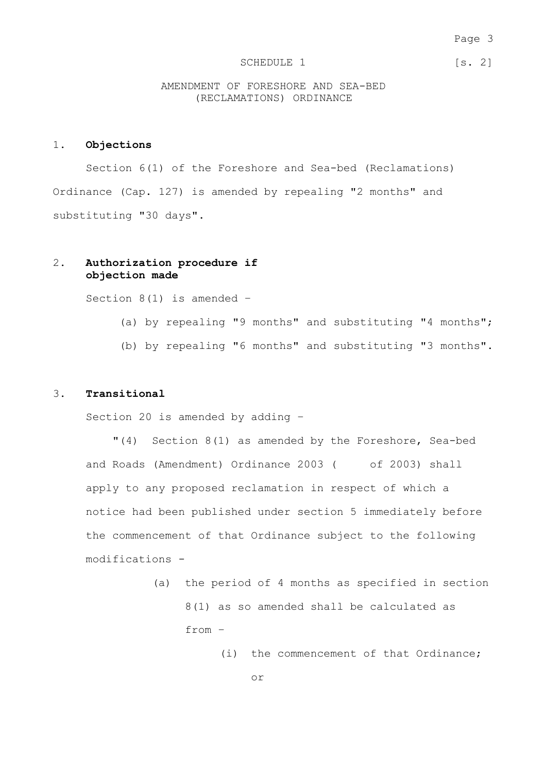#### Page 3

#### SCHEDULE 1 [s. 2]

AMENDMENT OF FORESHORE AND SEA-BED (RECLAMATIONS) ORDINANCE

#### 1. **Objections**

 Section 6(1) of the Foreshore and Sea-bed (Reclamations) Ordinance (Cap. 127) is amended by repealing "2 months" and substituting "30 days".

#### 2. **Authorization procedure if objection made**

Section  $8(1)$  is amended -

- (a) by repealing "9 months" and substituting "4 months";
- (b) by repealing "6 months" and substituting "3 months".

#### 3. **Transitional**

Section 20 is amended by adding –

"(4) Section 8(1) as amended by the Foreshore, Sea-bed and Roads (Amendment) Ordinance 2003 ( of 2003) shall apply to any proposed reclamation in respect of which a notice had been published under section 5 immediately before the commencement of that Ordinance subject to the following modifications -

- (a) the period of 4 months as specified in section 8(1) as so amended shall be calculated as from –
	- (i) the commencement of that Ordinance;

or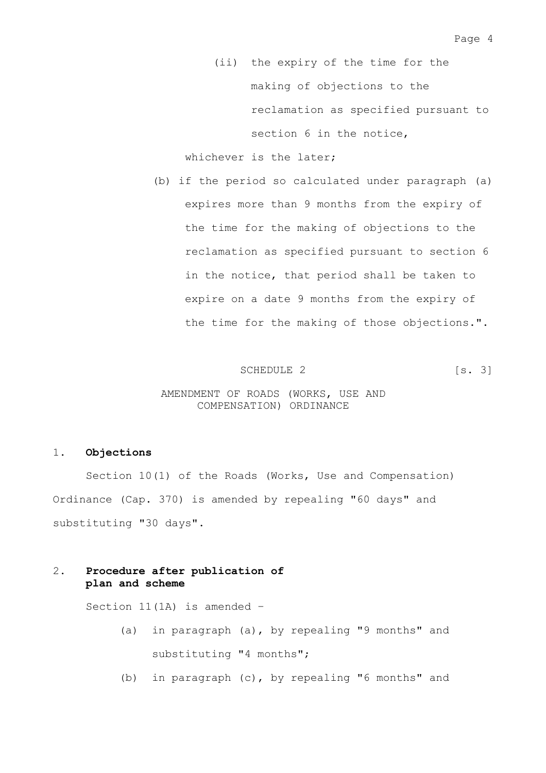(ii) the expiry of the time for the making of objections to the reclamation as specified pursuant to section 6 in the notice,

whichever is the later:

(b) if the period so calculated under paragraph (a) expires more than 9 months from the expiry of the time for the making of objections to the reclamation as specified pursuant to section 6 in the notice, that period shall be taken to expire on a date 9 months from the expiry of the time for the making of those objections.".

SCHEDULE 2 [s. 3]

#### AMENDMENT OF ROADS (WORKS, USE AND COMPENSATION) ORDINANCE

#### 1. **Objections**

 Section 10(1) of the Roads (Works, Use and Compensation) Ordinance (Cap. 370) is amended by repealing "60 days" and substituting "30 days".

### 2. **Procedure after publication of plan and scheme**

Section 11(1A) is amended –

- (a) in paragraph (a), by repealing "9 months" and substituting "4 months";
- (b) in paragraph (c), by repealing "6 months" and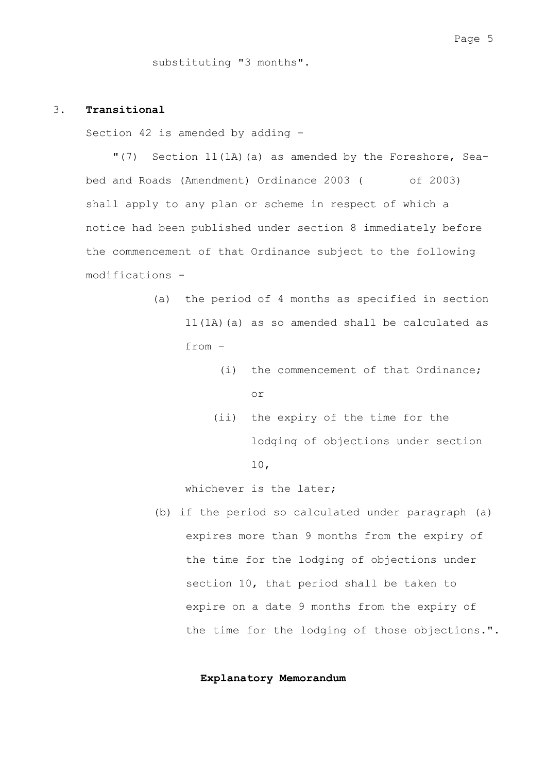substituting "3 months".

#### 3. **Transitional**

Section 42 is amended by adding –

"(7) Section 11(1A)(a) as amended by the Foreshore, Seabed and Roads (Amendment) Ordinance 2003 ( of 2003) shall apply to any plan or scheme in respect of which a notice had been published under section 8 immediately before the commencement of that Ordinance subject to the following modifications -

- (a) the period of 4 months as specified in section 11(1A)(a) as so amended shall be calculated as from –
	- (i) the commencement of that Ordinance; or
	- (ii) the expiry of the time for the lodging of objections under section 10,

whichever is the later;

(b) if the period so calculated under paragraph (a) expires more than 9 months from the expiry of the time for the lodging of objections under section 10, that period shall be taken to expire on a date 9 months from the expiry of the time for the lodging of those objections.".

**Explanatory Memorandum**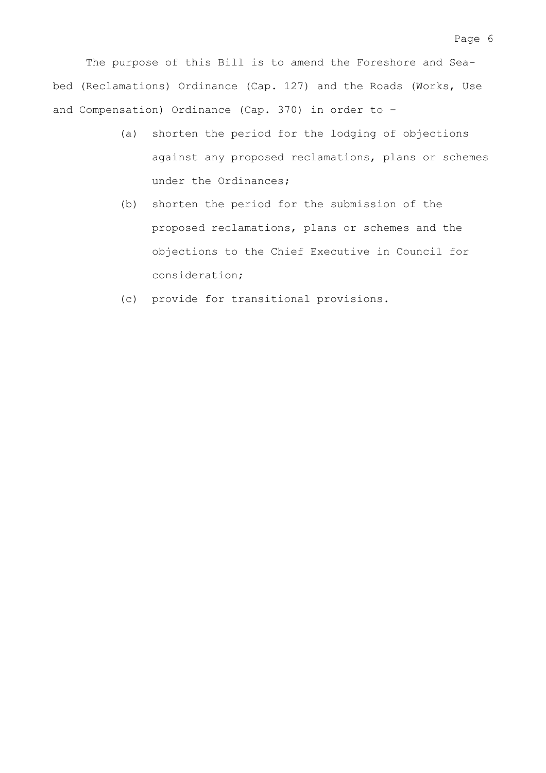The purpose of this Bill is to amend the Foreshore and Seabed (Reclamations) Ordinance (Cap. 127) and the Roads (Works, Use and Compensation) Ordinance (Cap. 370) in order to –

- (a) shorten the period for the lodging of objections against any proposed reclamations, plans or schemes under the Ordinances;
- (b) shorten the period for the submission of the proposed reclamations, plans or schemes and the objections to the Chief Executive in Council for consideration;
- (c) provide for transitional provisions.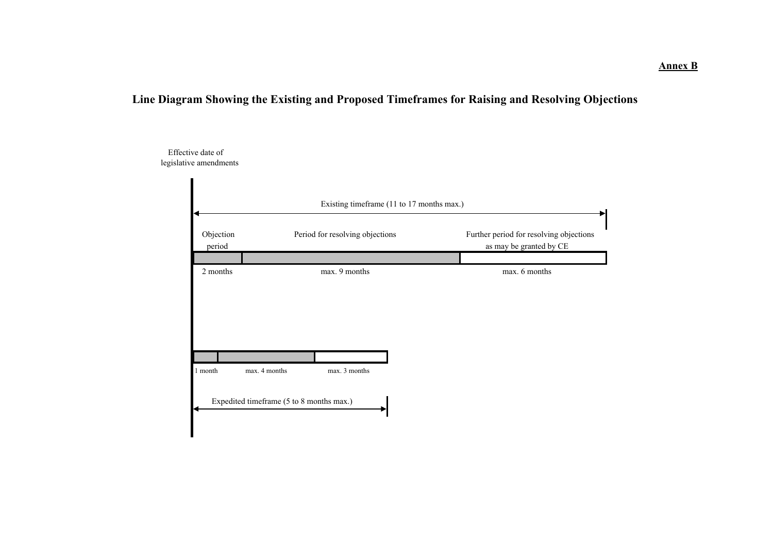# **Line Diagram Showing the Existing and Proposed Timeframes for Raising and Resolving Objections**

Effective date of legislative amendments

| Existing timeframe (11 to 17 months max.) |                                          |                                 |  |                                                                    |  |  |  |
|-------------------------------------------|------------------------------------------|---------------------------------|--|--------------------------------------------------------------------|--|--|--|
| Objection<br>period                       |                                          | Period for resolving objections |  | Further period for resolving objections<br>as may be granted by CE |  |  |  |
| 2 months                                  |                                          | max. 9 months                   |  | max. 6 months                                                      |  |  |  |
|                                           |                                          |                                 |  |                                                                    |  |  |  |
|                                           |                                          |                                 |  |                                                                    |  |  |  |
|                                           |                                          |                                 |  |                                                                    |  |  |  |
| 1 month                                   | max. 4 months                            | max. 3 months                   |  |                                                                    |  |  |  |
|                                           | Expedited timeframe (5 to 8 months max.) |                                 |  |                                                                    |  |  |  |
|                                           |                                          |                                 |  |                                                                    |  |  |  |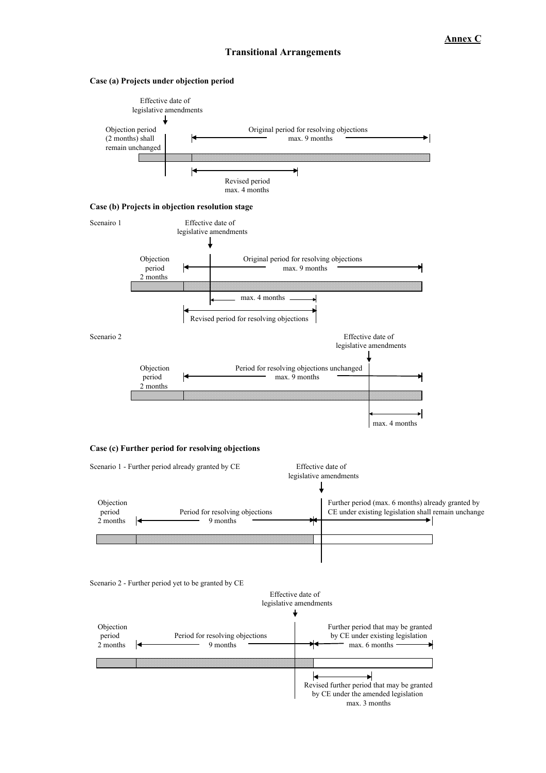#### **Transitional Arrangements**



#### **Case (a) Projects under objection period**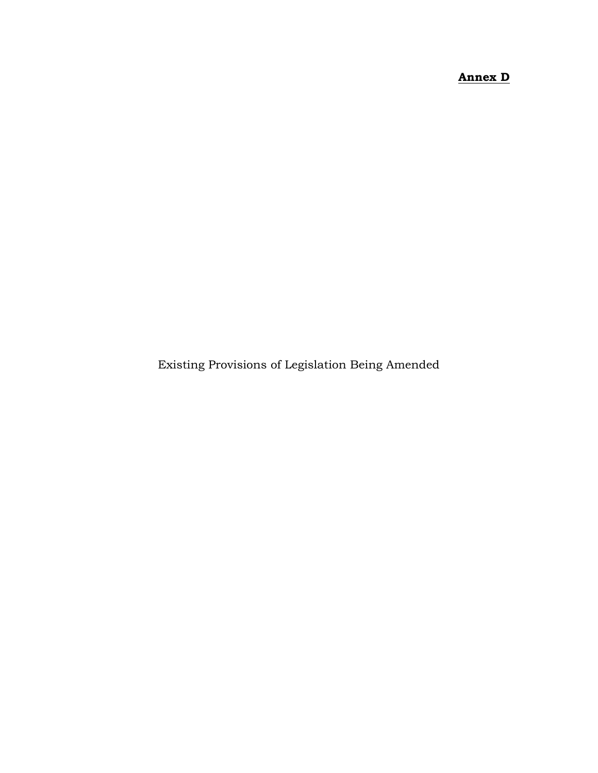# **Annex D**

Existing Provisions of Legislation Being Amended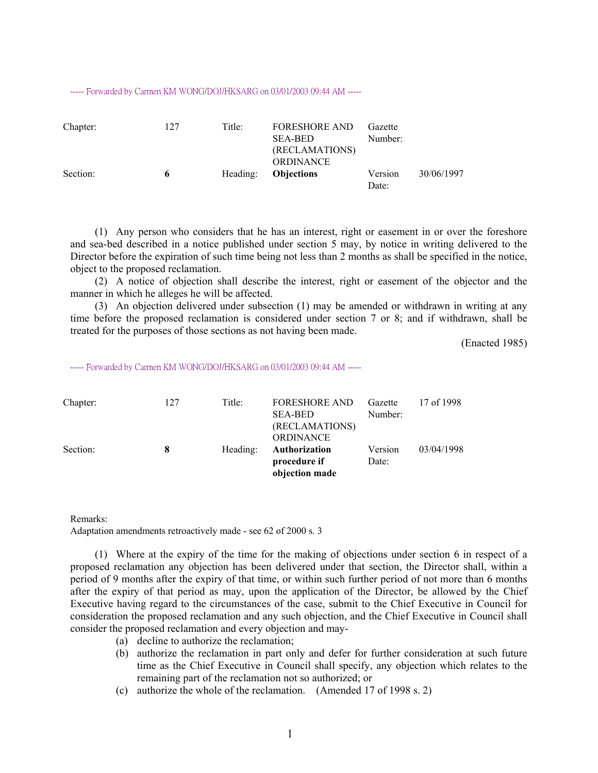#### ----- Forwarded by Carmen KM WONG/DOJ/HKSARG on 03/01/2003 09:44 AM -----

| Chapter: | 127 | Title:   | <b>FORESHORE AND</b><br><b>SEA-BED</b><br>(RECLAMATIONS)<br><b>ORDINANCE</b> | Gazette<br>Number: |            |
|----------|-----|----------|------------------------------------------------------------------------------|--------------------|------------|
| Section: | 6   | Heading: | <b>Objections</b>                                                            | Version<br>Date:   | 30/06/1997 |

(1) Any person who considers that he has an interest, right or easement in or over the foreshore and sea-bed described in a notice published under section 5 may, by notice in writing delivered to the Director before the expiration of such time being not less than 2 months as shall be specified in the notice, object to the proposed reclamation.

(2) A notice of objection shall describe the interest, right or easement of the objector and the manner in which he alleges he will be affected.

(3) An objection delivered under subsection (1) may be amended or withdrawn in writing at any time before the proposed reclamation is considered under section 7 or 8; and if withdrawn, shall be treated for the purposes of those sections as not having been made.

(Enacted 1985)

----- Forwarded by Carmen KM WONG/DOJ/HKSARG on 03/01/2003 09:44 AM -----

| Chapter: | 127 | Title:   | <b>FORESHORE AND</b> | Gazette | 17 of 1998 |
|----------|-----|----------|----------------------|---------|------------|
|          |     |          | <b>SEA-BED</b>       | Number: |            |
|          |     |          | (RECLAMATIONS)       |         |            |
|          |     |          | <b>ORDINANCE</b>     |         |            |
| Section: | 8   | Heading: | <b>Authorization</b> | Version | 03/04/1998 |
|          |     |          | procedure if         | Date:   |            |
|          |     |          | objection made       |         |            |

Remarks:

Adaptation amendments retroactively made - see 62 of 2000 s. 3

(1) Where at the expiry of the time for the making of objections under section 6 in respect of a proposed reclamation any objection has been delivered under that section, the Director shall, within a period of 9 months after the expiry of that time, or within such further period of not more than 6 months after the expiry of that period as may, upon the application of the Director, be allowed by the Chief Executive having regard to the circumstances of the case, submit to the Chief Executive in Council for consideration the proposed reclamation and any such objection, and the Chief Executive in Council shall consider the proposed reclamation and every objection and may-

- (a) decline to authorize the reclamation;
- (b) authorize the reclamation in part only and defer for further consideration at such future time as the Chief Executive in Council shall specify, any objection which relates to the remaining part of the reclamation not so authorized; or
- (c) authorize the whole of the reclamation. (Amended 17 of 1998 s. 2)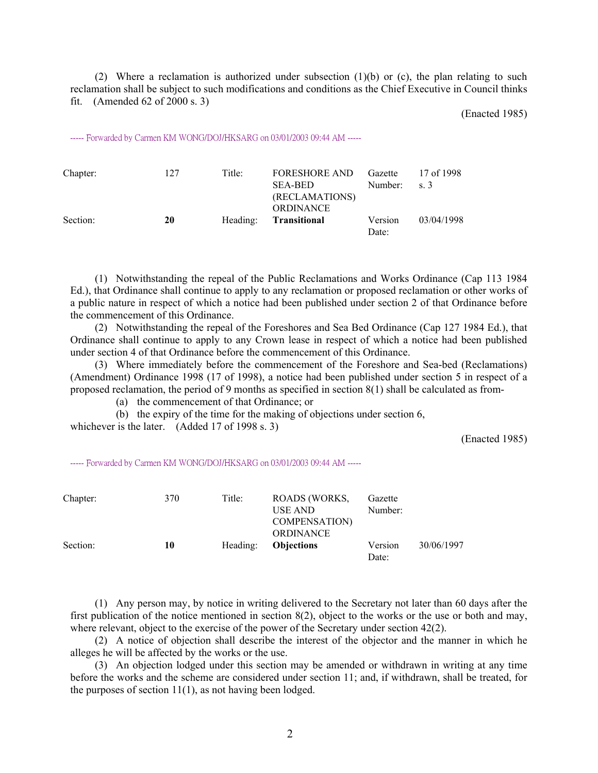(2) Where a reclamation is authorized under subsection (1)(b) or (c), the plan relating to such reclamation shall be subject to such modifications and conditions as the Chief Executive in Council thinks fit. (Amended 62 of 2000 s. 3)

(Enacted 1985)

----- Forwarded by Carmen KM WONG/DOJ/HKSARG on 03/01/2003 09:44 AM -----

| Chapter: | 127 | Title:   | <b>FORESHORE AND</b><br><b>SEA-BED</b><br>(RECLAMATIONS)<br><b>ORDINANCE</b> | Gazette<br>Number: | 17 of 1998<br>$\sim$ s. 3 |
|----------|-----|----------|------------------------------------------------------------------------------|--------------------|---------------------------|
| Section: | 20  | Heading: | Transitional                                                                 | Version<br>Date:   | 03/04/1998                |

(1) Notwithstanding the repeal of the Public Reclamations and Works Ordinance (Cap 113 1984 Ed.), that Ordinance shall continue to apply to any reclamation or proposed reclamation or other works of a public nature in respect of which a notice had been published under section 2 of that Ordinance before the commencement of this Ordinance.

(2) Notwithstanding the repeal of the Foreshores and Sea Bed Ordinance (Cap 127 1984 Ed.), that Ordinance shall continue to apply to any Crown lease in respect of which a notice had been published under section 4 of that Ordinance before the commencement of this Ordinance.

(3) Where immediately before the commencement of the Foreshore and Sea-bed (Reclamations) (Amendment) Ordinance 1998 (17 of 1998), a notice had been published under section 5 in respect of a proposed reclamation, the period of 9 months as specified in section 8(1) shall be calculated as from-

(a) the commencement of that Ordinance; or

(b) the expiry of the time for the making of objections under section 6,

whichever is the later. (Added 17 of 1998 s. 3)

(Enacted 1985)

----- Forwarded by Carmen KM WONG/DOJ/HKSARG on 03/01/2003 09:44 AM -----

| Chapter: | 370 | Title:   | ROADS (WORKS,<br>USE AND<br><b>COMPENSATION</b> | Gazette<br>Number: |            |
|----------|-----|----------|-------------------------------------------------|--------------------|------------|
| Section: | 10  | Heading: | <b>ORDINANCE</b><br><b>Objections</b>           | Version<br>Date:   | 30/06/1997 |

(1) Any person may, by notice in writing delivered to the Secretary not later than 60 days after the first publication of the notice mentioned in section 8(2), object to the works or the use or both and may, where relevant, object to the exercise of the power of the Secretary under section 42(2).

(2) A notice of objection shall describe the interest of the objector and the manner in which he alleges he will be affected by the works or the use.

(3) An objection lodged under this section may be amended or withdrawn in writing at any time before the works and the scheme are considered under section 11; and, if withdrawn, shall be treated, for the purposes of section 11(1), as not having been lodged.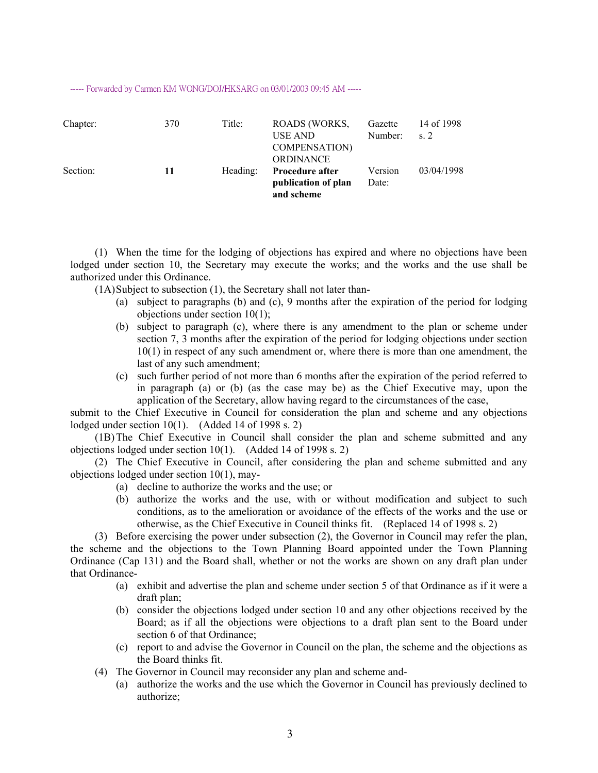#### ----- Forwarded by Carmen KM WONG/DOJ/HKSARG on 03/01/2003 09:45 AM -----

| Chapter: | 370 | Title:   | ROADS (WORKS,<br>USE AND<br><b>COMPENSATION</b><br><b>ORDINANCE</b> | Gazette<br>Number: | 14 of 1998<br>s <sub>2</sub> |
|----------|-----|----------|---------------------------------------------------------------------|--------------------|------------------------------|
| Section: | 11  | Heading: | <b>Procedure after</b><br>publication of plan<br>and scheme         | Version<br>Date:   | 03/04/1998                   |

(1) When the time for the lodging of objections has expired and where no objections have been lodged under section 10, the Secretary may execute the works; and the works and the use shall be authorized under this Ordinance.

(1A) Subject to subsection (1), the Secretary shall not later than-

- (a) subject to paragraphs (b) and (c), 9 months after the expiration of the period for lodging objections under section 10(1);
- (b) subject to paragraph (c), where there is any amendment to the plan or scheme under section 7, 3 months after the expiration of the period for lodging objections under section 10(1) in respect of any such amendment or, where there is more than one amendment, the last of any such amendment;
- (c) such further period of not more than 6 months after the expiration of the period referred to in paragraph (a) or (b) (as the case may be) as the Chief Executive may, upon the application of the Secretary, allow having regard to the circumstances of the case,

submit to the Chief Executive in Council for consideration the plan and scheme and any objections lodged under section  $10(1)$ . (Added 14 of 1998 s. 2)

(1B) The Chief Executive in Council shall consider the plan and scheme submitted and any objections lodged under section 10(1). (Added 14 of 1998 s. 2)

(2) The Chief Executive in Council, after considering the plan and scheme submitted and any objections lodged under section 10(1), may-

- (a) decline to authorize the works and the use; or
- (b) authorize the works and the use, with or without modification and subject to such conditions, as to the amelioration or avoidance of the effects of the works and the use or otherwise, as the Chief Executive in Council thinks fit. (Replaced 14 of 1998 s. 2)

(3) Before exercising the power under subsection (2), the Governor in Council may refer the plan, the scheme and the objections to the Town Planning Board appointed under the Town Planning Ordinance (Cap 131) and the Board shall, whether or not the works are shown on any draft plan under that Ordinance-

- (a) exhibit and advertise the plan and scheme under section 5 of that Ordinance as if it were a draft plan;
- (b) consider the objections lodged under section 10 and any other objections received by the Board; as if all the objections were objections to a draft plan sent to the Board under section 6 of that Ordinance;
- (c) report to and advise the Governor in Council on the plan, the scheme and the objections as the Board thinks fit.
- (4) The Governor in Council may reconsider any plan and scheme and-
	- (a) authorize the works and the use which the Governor in Council has previously declined to authorize;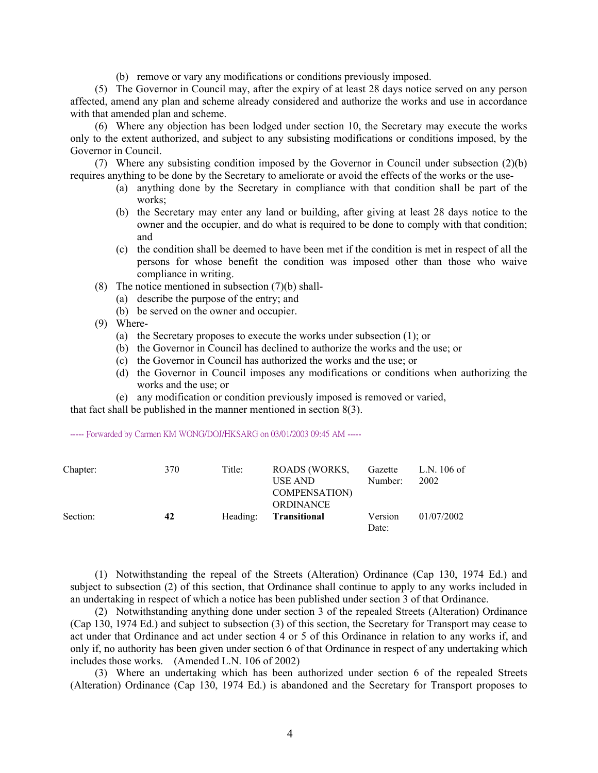(b) remove or vary any modifications or conditions previously imposed.

(5) The Governor in Council may, after the expiry of at least 28 days notice served on any person affected, amend any plan and scheme already considered and authorize the works and use in accordance with that amended plan and scheme.

(6) Where any objection has been lodged under section 10, the Secretary may execute the works only to the extent authorized, and subject to any subsisting modifications or conditions imposed, by the Governor in Council.

(7) Where any subsisting condition imposed by the Governor in Council under subsection (2)(b) requires anything to be done by the Secretary to ameliorate or avoid the effects of the works or the use-

- (a) anything done by the Secretary in compliance with that condition shall be part of the works;
- (b) the Secretary may enter any land or building, after giving at least 28 days notice to the owner and the occupier, and do what is required to be done to comply with that condition; and
- (c) the condition shall be deemed to have been met if the condition is met in respect of all the persons for whose benefit the condition was imposed other than those who waive compliance in writing.
- (8) The notice mentioned in subsection  $(7)(b)$  shall-
	- (a) describe the purpose of the entry; and
	- (b) be served on the owner and occupier.
- (9) Where-
	- (a) the Secretary proposes to execute the works under subsection (1); or
	- (b) the Governor in Council has declined to authorize the works and the use; or
	- (c) the Governor in Council has authorized the works and the use; or
	- (d) the Governor in Council imposes any modifications or conditions when authorizing the works and the use; or
	- (e) any modification or condition previously imposed is removed or varied,

that fact shall be published in the manner mentioned in section 8(3).

----- Forwarded by Carmen KM WONG/DOJ/HKSARG on 03/01/2003 09:45 AM -----

| Chapter: | 370 | Title: | ROADS (WORKS,<br>USE AND                | Gazette<br>Number: | L.N. 106 of<br>2002 |
|----------|-----|--------|-----------------------------------------|--------------------|---------------------|
|          |     |        | <b>COMPENSATION</b><br><b>ORDINANCE</b> |                    |                     |
| Section: | 42  |        | Heading: <b>Transitional</b>            | Version<br>Date:   | 01/07/2002          |

(1) Notwithstanding the repeal of the Streets (Alteration) Ordinance (Cap 130, 1974 Ed.) and subject to subsection (2) of this section, that Ordinance shall continue to apply to any works included in an undertaking in respect of which a notice has been published under section 3 of that Ordinance.

(2) Notwithstanding anything done under section 3 of the repealed Streets (Alteration) Ordinance (Cap 130, 1974 Ed.) and subject to subsection (3) of this section, the Secretary for Transport may cease to act under that Ordinance and act under section 4 or 5 of this Ordinance in relation to any works if, and only if, no authority has been given under section 6 of that Ordinance in respect of any undertaking which includes those works. (Amended L.N. 106 of 2002)

(3) Where an undertaking which has been authorized under section 6 of the repealed Streets (Alteration) Ordinance (Cap 130, 1974 Ed.) is abandoned and the Secretary for Transport proposes to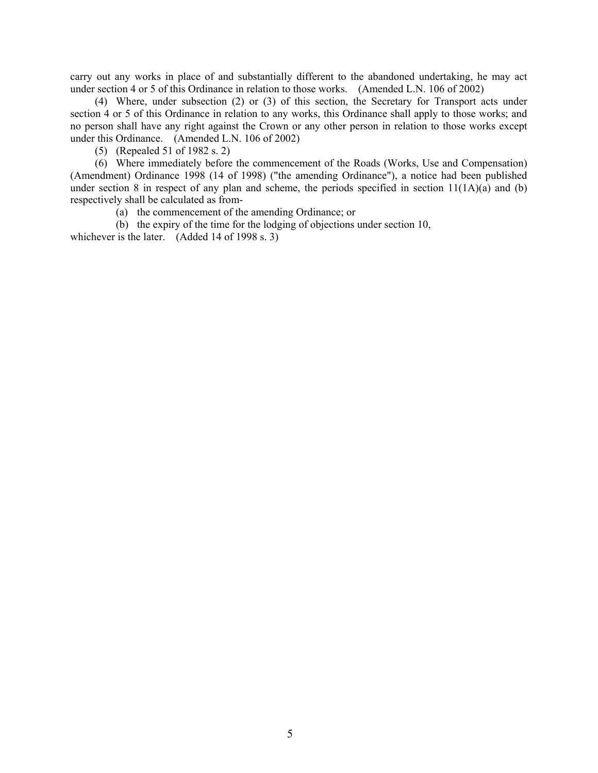carry out any works in place of and substantially different to the abandoned undertaking, he may act under section 4 or 5 of this Ordinance in relation to those works. (Amended L.N. 106 of 2002)

(4) Where, under subsection (2) or (3) of this section, the Secretary for Transport acts under section 4 or 5 of this Ordinance in relation to any works, this Ordinance shall apply to those works; and no person shall have any right against the Crown or any other person in relation to those works except under this Ordinance. (Amended L.N. 106 of 2002)

(5) (Repealed 51 of 1982 s. 2)

(6) Where immediately before the commencement of the Roads (Works, Use and Compensation) (Amendment) Ordinance 1998 (14 of 1998) ("the amending Ordinance"), a notice had been published under section 8 in respect of any plan and scheme, the periods specified in section 11(1A)(a) and (b) respectively shall be calculated as from-

(a) the commencement of the amending Ordinance; or

(b) the expiry of the time for the lodging of objections under section 10, whichever is the later. (Added 14 of 1998 s. 3)